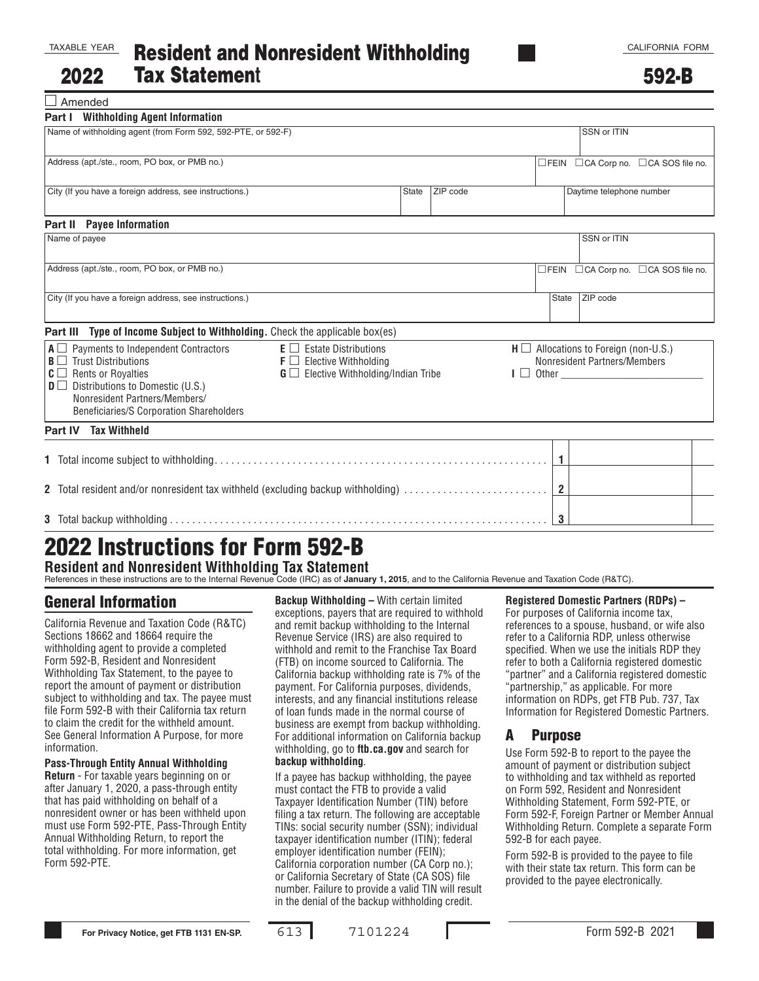□ Amended

| <b>Part I</b> Withholding Agent Information                                                                                                                                                                                                                   |                                                                                                                                                     |  |  |                          |                                                                               |                                     |  |
|---------------------------------------------------------------------------------------------------------------------------------------------------------------------------------------------------------------------------------------------------------------|-----------------------------------------------------------------------------------------------------------------------------------------------------|--|--|--------------------------|-------------------------------------------------------------------------------|-------------------------------------|--|
| Name of withholding agent (from Form 592, 592-PTE, or 592-F)                                                                                                                                                                                                  |                                                                                                                                                     |  |  |                          | SSN or ITIN                                                                   |                                     |  |
| Address (apt./ste., room, PO box, or PMB no.)                                                                                                                                                                                                                 |                                                                                                                                                     |  |  |                          |                                                                               | □FEIN □CA Corp no. □CA SOS file no. |  |
| City (If you have a foreign address, see instructions.)<br>ZIP code<br><b>State</b>                                                                                                                                                                           |                                                                                                                                                     |  |  | Daytime telephone number |                                                                               |                                     |  |
| Part II Payee Information                                                                                                                                                                                                                                     |                                                                                                                                                     |  |  |                          |                                                                               |                                     |  |
| Name of payee                                                                                                                                                                                                                                                 |                                                                                                                                                     |  |  |                          |                                                                               | SSN or ITIN                         |  |
| Address (apt./ste., room, PO box, or PMB no.)                                                                                                                                                                                                                 |                                                                                                                                                     |  |  |                          |                                                                               | □FEIN □CA Corp no. □CA SOS file no. |  |
| City (If you have a foreign address, see instructions.)                                                                                                                                                                                                       |                                                                                                                                                     |  |  |                          | State                                                                         | ZIP code                            |  |
| Type of Income Subject to Withholding. Check the applicable box(es)<br>Part III                                                                                                                                                                               |                                                                                                                                                     |  |  |                          |                                                                               |                                     |  |
| $A \square$ Payments to Independent Contractors<br>$\mathbf{B} \square$ Trust Distributions<br>$C \square$ Rents or Royalties<br>$\mathbf{D}$ D Distributions to Domestic (U.S.)<br>Nonresident Partners/Members/<br>Beneficiaries/S Corporation Shareholders | $E \Box$ Estate Distributions<br>$\mathsf{F} \square$ Elective Withholding<br>$G \square$ Elective Withholding/Indian Tribe<br>$\mathsf{I} \square$ |  |  |                          | $H \square$ Allocations to Foreign (non-U.S.)<br>Nonresident Partners/Members |                                     |  |
| <b>Tax Withheld</b><br><b>Part IV</b>                                                                                                                                                                                                                         |                                                                                                                                                     |  |  |                          |                                                                               |                                     |  |
|                                                                                                                                                                                                                                                               |                                                                                                                                                     |  |  |                          |                                                                               |                                     |  |
| 2 Total resident and/or nonresident tax withheld (excluding backup withholding)                                                                                                                                                                               |                                                                                                                                                     |  |  |                          |                                                                               |                                     |  |
|                                                                                                                                                                                                                                                               |                                                                                                                                                     |  |  | 3                        |                                                                               |                                     |  |

# 2022 Instructions for Form 592-B

**Resident and Nonresident Withholding Tax Statement** References in these instructions are to the Internal Revenue Code (IRC) as of **January 1, 2015**, and to the California Revenue and Taxation Code (R&TC).

# General Information

California Revenue and Taxation Code (R&TC) Sections 18662 and 18664 require the withholding agent to provide a completed Form 592-B, Resident and Nonresident Withholding Tax Statement, to the payee to report the amount of payment or distribution subject to withholding and tax. The payee must file Form 592-B with their California tax return to claim the credit for the withheld amount. See General Information A Purpose, for more information.

#### **Pass-Through Entity Annual Withholding**

**Return** - For taxable years beginning on or after January 1, 2020, a pass-through entity that has paid withholding on behalf of a nonresident owner or has been withheld upon must use Form 592-PTE, Pass-Through Entity Annual Withholding Return, to report the total withholding. For more information, get Form 592-PTE.

**Backup Withholding –** With certain limited exceptions, payers that are required to withhold and remit backup withholding to the Internal Revenue Service (IRS) are also required to withhold and remit to the Franchise Tax Board (FTB) on income sourced to California. The California backup withholding rate is 7% of the payment. For California purposes, dividends, interests, and any financial institutions release of loan funds made in the normal course of business are exempt from backup withholding. For additional information on California backup withholding, go to **ftb.ca.gov** and search for **backup withholding**.

If a payee has backup withholding, the payee must contact the FTB to provide a valid Taxpayer Identification Number (TIN) before filing a tax return. The following are acceptable TINs: social security number (SSN); individual taxpayer identification number (ITIN); federal employer identification number (FEIN); California corporation number (CA Corp no.); or California Secretary of State (CA SOS) file number. Failure to provide a valid TIN will result in the denial of the backup withholding credit.

#### **Registered Domestic Partners (RDPs) –**

For purposes of California income tax, references to a spouse, husband, or wife also refer to a California RDP, unless otherwise specified. When we use the initials RDP they refer to both a California registered domestic "partner" and a California registered domestic "partnership," as applicable. For more information on RDPs, get FTB Pub. 737, Tax Information for Registered Domestic Partners.

#### A Purpose

Use Form 592-B to report to the payee the amount of payment or distribution subject to withholding and tax withheld as reported on Form 592, Resident and Nonresident Withholding Statement, Form 592-PTE, or Form 592-F, Foreign Partner or Member Annual Withholding Return. Complete a separate Form 592-B for each payee.

Form 592-B is provided to the payee to file with their state tax return. This form can be provided to the payee electronically.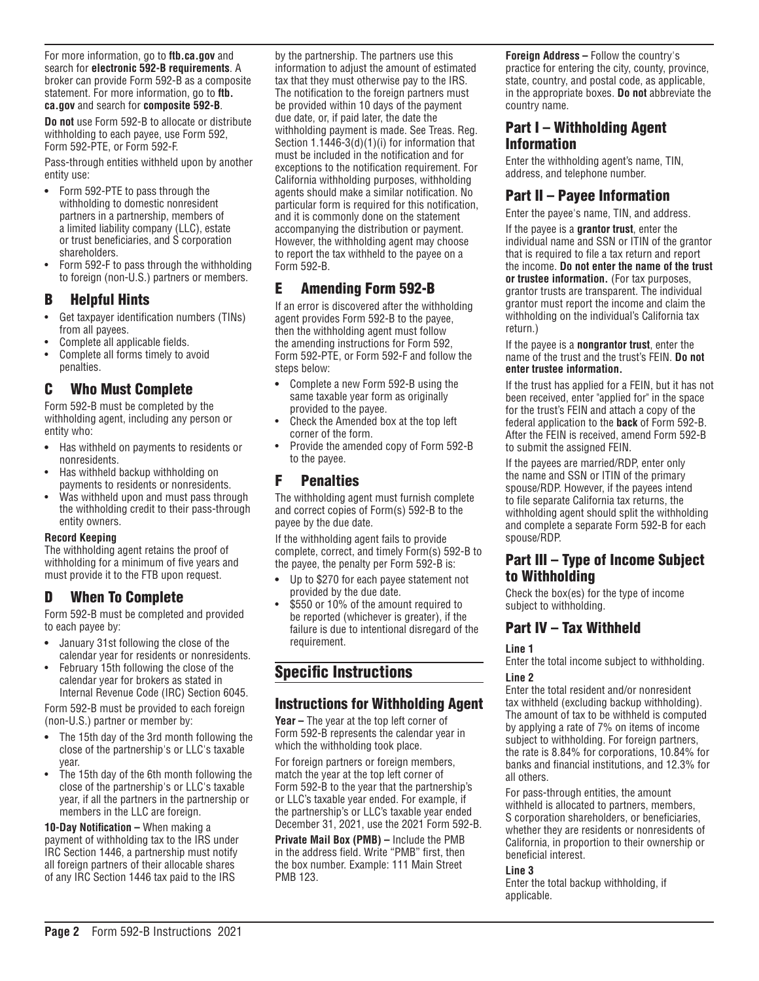For more information, go to **ftb.ca.gov** and search for **electronic 592-B requirements**. A broker can provide Form 592-B as a composite statement. For more information, go to **ftb. ca.gov** and search for **composite 592-B**.

**Do not** use Form 592-B to allocate or distribute withholding to each payee, use Form 592, Form 592-PTE, or Form 592-F.

Pass-through entities withheld upon by another entity use:

- **•** Form 592-PTE to pass through the withholding to domestic nonresident partners in a partnership, members of a limited liability company (LLC), estate or trust beneficiaries, and S corporation shareholders.
- Form 592-F to pass through the withholding to foreign (non-U.S.) partners or members.

## B Helpful Hints

- Get taxpayer identification numbers (TINs) from all payees.
- Complete all applicable fields.
- Complete all forms timely to avoid penalties.

## C Who Must Complete

Form 592-B must be completed by the withholding agent, including any person or entity who:

- **•** Has withheld on payments to residents or nonresidents.
- Has withheld backup withholding on payments to residents or nonresidents.
- Was withheld upon and must pass through the withholding credit to their pass-through entity owners.

#### **Record Keeping**

The withholding agent retains the proof of withholding for a minimum of five years and must provide it to the FTB upon request.

# D When To Complete

Form 592-B must be completed and provided to each payee by:

- **•** January 31st following the close of the calendar year for residents or nonresidents.
- February 15th following the close of the calendar year for brokers as stated in Internal Revenue Code (IRC) Section 6045.

Form 592-B must be provided to each foreign (non-U.S.) partner or member by:

- **•** The 15th day of the 3rd month following the close of the partnership's or LLC's taxable year.
- The 15th day of the 6th month following the close of the partnership's or LLC's taxable year, if all the partners in the partnership or members in the LLC are foreign.

**10-Day Notification –** When making a payment of withholding tax to the IRS under IRC Section 1446, a partnership must notify all foreign partners of their allocable shares of any IRC Section 1446 tax paid to the IRS

by the partnership. The partners use this information to adjust the amount of estimated tax that they must otherwise pay to the IRS. The notification to the foreign partners must be provided within 10 days of the payment due date, or, if paid later, the date the withholding payment is made. See Treas. Reg. Section 1.1446-3(d)(1)(i) for information that must be included in the notification and for exceptions to the notification requirement. For California withholding purposes, withholding agents should make a similar notification. No particular form is required for this notification, and it is commonly done on the statement accompanying the distribution or payment. However, the withholding agent may choose to report the tax withheld to the payee on a Form 592-B.

# E Amending Form 592-B

If an error is discovered after the withholding agent provides Form 592-B to the payee, then the withholding agent must follow the amending instructions for Form 592, Form 592-PTE, or Form 592-F and follow the steps below:

- **•** Complete a new Form 592-B using the same taxable year form as originally provided to the payee.
- Check the Amended box at the top left corner of the form.
- Provide the amended copy of Form 592-B to the payee.

## F Penalties

The withholding agent must furnish complete and correct copies of Form(s) 592-B to the payee by the due date.

If the withholding agent fails to provide complete, correct, and timely Form(s) 592-B to the payee, the penalty per Form 592-B is:

- **•** Up to \$270 for each payee statement not provided by the due date.
- \$550 or 10% of the amount required to be reported (whichever is greater), if the failure is due to intentional disregard of the requirement.

# Specific Instructions

## Instructions for Withholding Agent

**Year –** The year at the top left corner of Form 592-B represents the calendar year in which the withholding took place.

For foreign partners or foreign members, match the year at the top left corner of Form 592-B to the year that the partnership's or LLC's taxable year ended. For example, if the partnership's or LLC's taxable year ended December 31, 2021, use the 2021 Form 592-B.

**Private Mail Box (PMB) –** Include the PMB in the address field. Write "PMB" first, then the box number. Example: 111 Main Street PMB 123.

**Foreign Address –** Follow the country's practice for entering the city, county, province, state, country, and postal code, as applicable, in the appropriate boxes. **Do not** abbreviate the country name.

## Part I – Withholding Agent Information

Enter the withholding agent's name, TIN, address, and telephone number.

## Part II – Payee Information

Enter the payee's name, TIN, and address.

If the payee is a **grantor trust**, enter the individual name and SSN or ITIN of the grantor that is required to file a tax return and report the income. **Do not enter the name of the trust or trustee information.** (For tax purposes, grantor trusts are transparent. The individual grantor must report the income and claim the withholding on the individual's California tax return.)

If the payee is a **nongrantor trust**, enter the name of the trust and the trust's FEIN. **Do not enter trustee information.**

If the trust has applied for a FEIN, but it has not been received, enter "applied for" in the space for the trust's FEIN and attach a copy of the federal application to the **back** of Form 592-B. After the FEIN is received, amend Form 592-B to submit the assigned FEIN.

If the payees are married/RDP, enter only the name and SSN or ITIN of the primary spouse/RDP. However, if the payees intend to file separate California tax returns, the withholding agent should split the withholding and complete a separate Form 592-B for each spouse/RDP.

## Part III – Type of Income Subject to Withholding

Check the box(es) for the type of income subject to withholding.

# Part IV – Tax Withheld

**Line 1**

Enter the total income subject to withholding. **Line 2**

Enter the total resident and/or nonresident tax withheld (excluding backup withholding). The amount of tax to be withheld is computed by applying a rate of 7% on items of income subject to withholding. For foreign partners, the rate is 8.84% for corporations, 10.84% for banks and financial institutions, and 12.3% for all others.

For pass-through entities, the amount withheld is allocated to partners, members, S corporation shareholders, or beneficiaries, whether they are residents or nonresidents of California, in proportion to their ownership or beneficial interest.

#### **Line 3**

Enter the total backup withholding, if applicable.